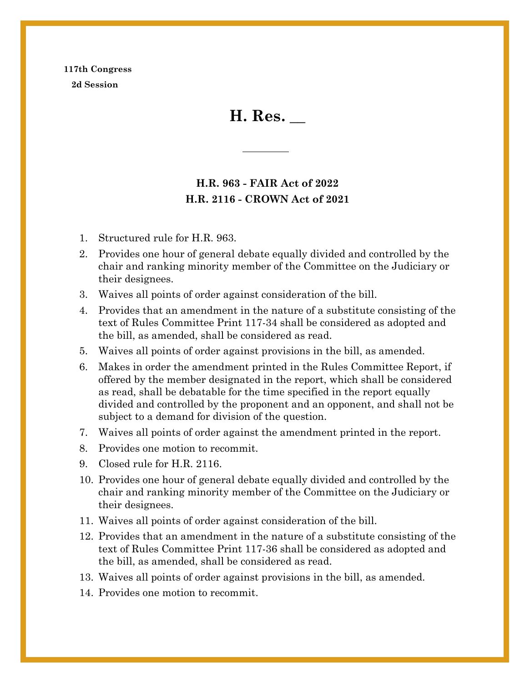## **117th Congress 2d Session**

**H. Res. \_\_**

## **H.R. 963 - FAIR Act of 2022 H.R. 2116 - CROWN Act of 2021**

- 1. Structured rule for H.R. 963.
- 2. Provides one hour of general debate equally divided and controlled by the chair and ranking minority member of the Committee on the Judiciary or their designees.
- 3. Waives all points of order against consideration of the bill.
- 4. Provides that an amendment in the nature of a substitute consisting of the text of Rules Committee Print 117-34 shall be considered as adopted and the bill, as amended, shall be considered as read.
- 5. Waives all points of order against provisions in the bill, as amended.
- 6. Makes in order the amendment printed in the Rules Committee Report, if offered by the member designated in the report, which shall be considered as read, shall be debatable for the time specified in the report equally divided and controlled by the proponent and an opponent, and shall not be subject to a demand for division of the question.
- 7. Waives all points of order against the amendment printed in the report.
- 8. Provides one motion to recommit.
- 9. Closed rule for H.R. 2116.
- 10. Provides one hour of general debate equally divided and controlled by the chair and ranking minority member of the Committee on the Judiciary or their designees.
- 11. Waives all points of order against consideration of the bill.
- 12. Provides that an amendment in the nature of a substitute consisting of the text of Rules Committee Print 117-36 shall be considered as adopted and the bill, as amended, shall be considered as read.
- 13. Waives all points of order against provisions in the bill, as amended.
- 14. Provides one motion to recommit.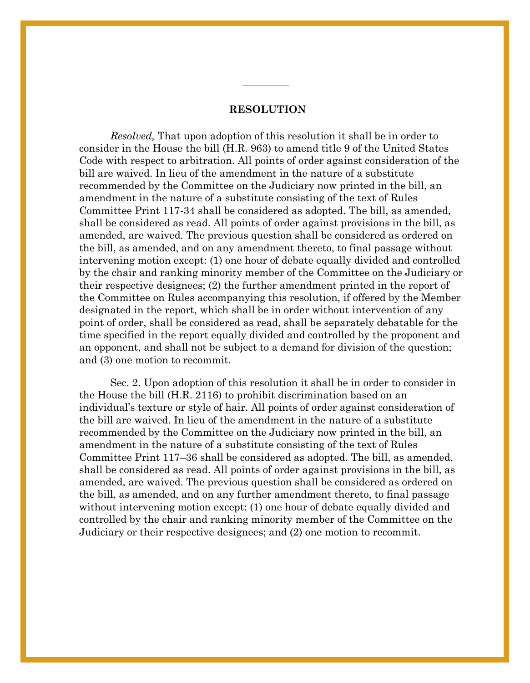## **RESOLUTION**

*Resolved,* That upon adoption of this resolution it shall be in order to consider in the House the bill (H.R. 963) to amend title 9 of the United States Code with respect to arbitration. All points of order against consideration of the bill are waived. In lieu of the amendment in the nature of a substitute recommended by the Committee on the Judiciary now printed in the bill, an amendment in the nature of a substitute consisting of the text of Rules Committee Print 117-34 shall be considered as adopted. The bill, as amended, shall be considered as read. All points of order against provisions in the bill, as amended, are waived. The previous question shall be considered as ordered on the bill, as amended, and on any amendment thereto, to final passage without intervening motion except: (1) one hour of debate equally divided and controlled by the chair and ranking minority member of the Committee on the Judiciary or their respective designees; (2) the further amendment printed in the report of the Committee on Rules accompanying this resolution, if offered by the Member designated in the report, which shall be in order without intervention of any point of order, shall be considered as read, shall be separately debatable for the time specified in the report equally divided and controlled by the proponent and an opponent, and shall not be subject to a demand for division of the question; and (3) one motion to recommit.

Sec. 2. Upon adoption of this resolution it shall be in order to consider in the House the bill (H.R. 2116) to prohibit discrimination based on an individual's texture or style of hair. All points of order against consideration of the bill are waived. In lieu of the amendment in the nature of a substitute recommended by the Committee on the Judiciary now printed in the bill, an amendment in the nature of a substitute consisting of the text of Rules Committee Print 117–36 shall be considered as adopted. The bill, as amended, shall be considered as read. All points of order against provisions in the bill, as amended, are waived. The previous question shall be considered as ordered on the bill, as amended, and on any further amendment thereto, to final passage without intervening motion except: (1) one hour of debate equally divided and controlled by the chair and ranking minority member of the Committee on the Judiciary or their respective designees; and (2) one motion to recommit.